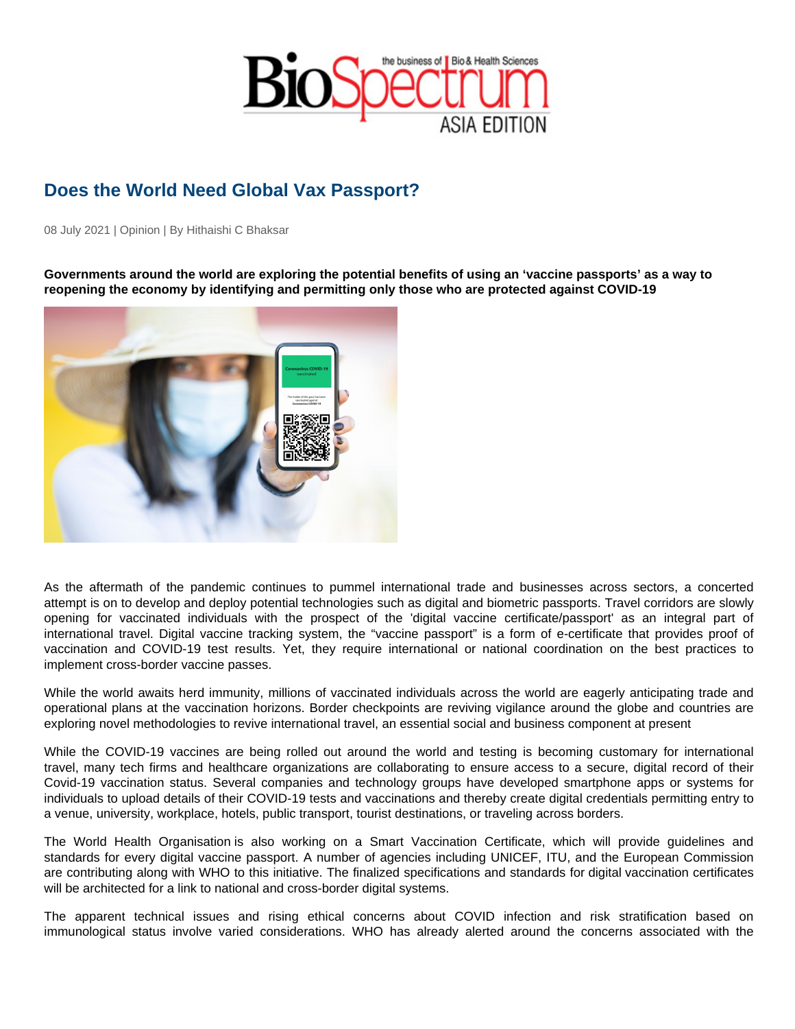## Does the World Need Global Vax Passport?

08 July 2021 | Opinion | By Hithaishi C Bhaksar

Governments around the world are exploring the potential benefits of using an 'vaccine passports' as a way to reopening the economy by identifying and permitting only those who are protected against COVID-19

As the aftermath of the pandemic continues to pummel international trade and businesses across sectors, a concerted attempt is on to develop and deploy potential technologies such as digital and biometric passports. Travel corridors are slowly opening for vaccinated individuals with the prospect of the 'digital vaccine certificate/passport' as an integral part of international travel. Digital vaccine tracking system, the "vaccine passport" is a form of e-certificate that provides proof of vaccination and COVID-19 test results. Yet, they require international or national coordination on the best practices to implement cross-border vaccine passes.

While the world awaits herd immunity, millions of vaccinated individuals across the world are eagerly anticipating trade and operational plans at the vaccination horizons. Border checkpoints are reviving vigilance around the globe and countries are exploring novel methodologies to revive international travel, an essential social and business component at present

While the COVID-19 vaccines are being rolled out around the world and testing is becoming customary for international travel, many tech firms and healthcare organizations are collaborating to ensure access to a secure, digital record of their Covid-19 vaccination status. Several companies and technology groups have developed smartphone apps or systems for individuals to upload details of their COVID-19 tests and vaccinations and thereby create digital credentials permitting entry to a venue, university, workplace, hotels, public transport, tourist destinations, or traveling across borders.

The World Health Organisation is also working on a Smart Vaccination Certificate, which will provide guidelines and standards for every digital vaccine passport. A number of agencies including UNICEF, ITU, and the European Commission are contributing along with WHO to this initiative. The finalized specifications and standards for digital vaccination certificates will be architected for a link to national and cross-border digital systems.

The apparent technical issues and rising ethical concerns about COVID infection and risk stratification based on immunological status involve varied considerations. WHO has already alerted around the concerns associated with the